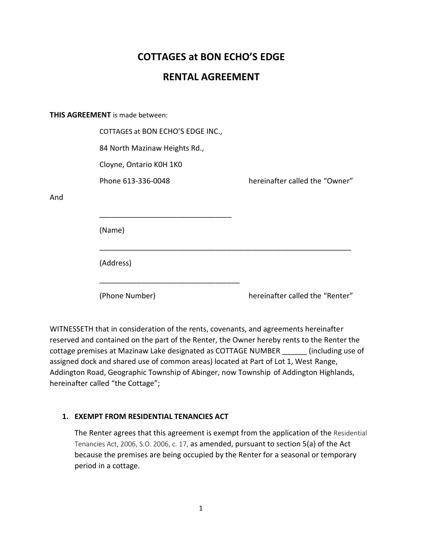# **COTTAGES at BON ECHO'S EDGE**

# **RENTAL AGREEMENT**

**THIS AGREEMENT** is made between:

And

| COTTAGES at BON ECHO'S EDGE INC., |                                 |
|-----------------------------------|---------------------------------|
| 84 North Mazinaw Heights Rd.,     |                                 |
| Cloyne, Ontario K0H 1K0           |                                 |
| Phone 613-336-0048                | hereinafter called the "Owner"  |
|                                   |                                 |
| (Name)                            |                                 |
| (Address)                         |                                 |
| (Phone Number)                    | hereinafter called the "Renter" |

WITNESSETH that in consideration of the rents, covenants, and agreements hereinafter reserved and contained on the part of the Renter, the Owner hereby rents to the Renter the cottage premises at Mazinaw Lake designated as COTTAGE NUMBER \_\_\_\_\_\_ (including use of assigned dock and shared use of common areas) located at Part of Lot 1, West Range, Addington Road, Geographic Township of Abinger, now Township of Addington Highlands, hereinafter called "the Cottage";

# **1. EXEMPT FROM RESIDENTIAL TENANCIES ACT**

The Renter agrees that this agreement is exempt from the application of the Residential Tenancies Act, 2006, S.O. 2006, c. 17, as amended, pursuant to section 5(a) of the Act because the premises are being occupied by the Renter for a seasonal or temporary period in a cottage.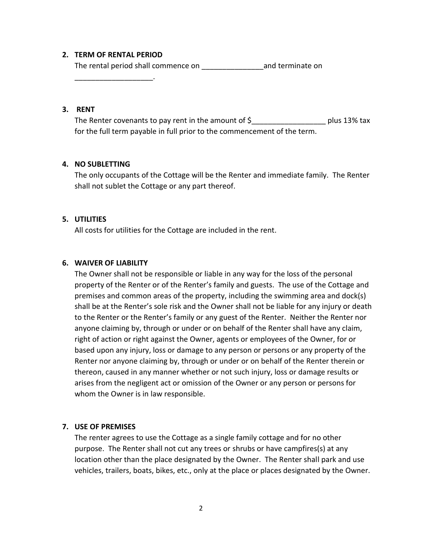#### **2. TERM OF RENTAL PERIOD**

The rental period shall commence on The rental period shall commence on

\_\_\_\_\_\_\_\_\_\_\_\_\_\_\_\_\_\_\_.

# **3. RENT**

The Renter covenants to pay rent in the amount of  $\zeta$  and the solus 13% tax for the full term payable in full prior to the commencement of the term.

## **4. NO SUBLETTING**

The only occupants of the Cottage will be the Renter and immediate family. The Renter shall not sublet the Cottage or any part thereof.

#### **5. UTILITIES**

All costs for utilities for the Cottage are included in the rent.

## **6. WAIVER OF LIABILITY**

The Owner shall not be responsible or liable in any way for the loss of the personal property of the Renter or of the Renter's family and guests. The use of the Cottage and premises and common areas of the property, including the swimming area and dock(s) shall be at the Renter's sole risk and the Owner shall not be liable for any injury or death to the Renter or the Renter's family or any guest of the Renter. Neither the Renter nor anyone claiming by, through or under or on behalf of the Renter shall have any claim, right of action or right against the Owner, agents or employees of the Owner, for or based upon any injury, loss or damage to any person or persons or any property of the Renter nor anyone claiming by, through or under or on behalf of the Renter therein or thereon, caused in any manner whether or not such injury, loss or damage results or arises from the negligent act or omission of the Owner or any person or persons for whom the Owner is in law responsible.

#### **7. USE OF PREMISES**

The renter agrees to use the Cottage as a single family cottage and for no other purpose. The Renter shall not cut any trees or shrubs or have campfires(s) at any location other than the place designated by the Owner. The Renter shall park and use vehicles, trailers, boats, bikes, etc., only at the place or places designated by the Owner.